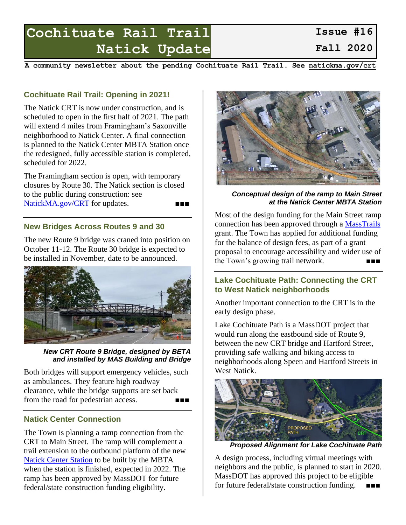# **Cochituate Rail Trail Natick Update**

**A community newsletter about the pending Cochituate Rail Trail. See [natickma.gov/crt](https://www.natickma.gov/crt)**

## **Cochituate Rail Trail: Opening in 2021!**

The Natick CRT is now under construction, and is scheduled to open in the first half of 2021. The path will extend 4 miles from Framingham's Saxonville neighborhood to Natick Center. A final connection is planned to the Natick Center MBTA Station once the redesigned, fully accessible station is completed, scheduled for 2022.

The Framingham section is open, with temporary closures by Route 30. The Natick section is closed to the public during construction: see [NatickMA.gov/CRT](https://natickma.gov/CRT) for updates.

### **New Bridges Across Routes 9 and 30**

The new Route 9 bridge was craned into position on October 11-12. The Route 30 bridge is expected to be installed in November, date to be announced.



*New CRT Route 9 Bridge, designed by BETA and installed by MAS Building and Bridge*

Both bridges will support emergency vehicles, such as ambulances. They feature high roadway clearance, while the bridge supports are set back from the road for pedestrian access.

#### **Natick Center Connection**

The Town is planning a ramp connection from the CRT to Main Street. The ramp will complement a trail extension to the outbound platform of the new [Natick Center Station](https://www.mbta.com/projects/natick-center-station-accessibility-improvements) to be built by the MBTA when the station is finished, expected in 2022. The ramp has been approved by MassDOT for future federal/state construction funding eligibility.



*Conceptual design of the ramp to Main Street at the Natick Center MBTA Station*

Most of the design funding for the Main Street ramp connection has been approved through a [MassTrails](https://www.mass.gov/welcome-to-masstrails) grant. The Town has applied for additional funding for the balance of design fees, as part of a grant proposal to encourage accessibility and wider use of the Town's growing trail network.

#### **Lake Cochituate Path: Connecting the CRT to West Natick neighborhoods**

Another important connection to the CRT is in the early design phase.

Lake Cochituate Path is a MassDOT project that would run along the eastbound side of Route 9, between the new CRT bridge and Hartford Street, providing safe walking and biking access to neighborhoods along Speen and Hartford Streets in West Natick.



*Proposed Alignment for Lake Cochituate Path*

A design process, including virtual meetings with neighbors and the public, is planned to start in 2020. MassDOT has approved this project to be eligible for future federal/state construction funding. ■■■

**Issue #16 Fall 2020**